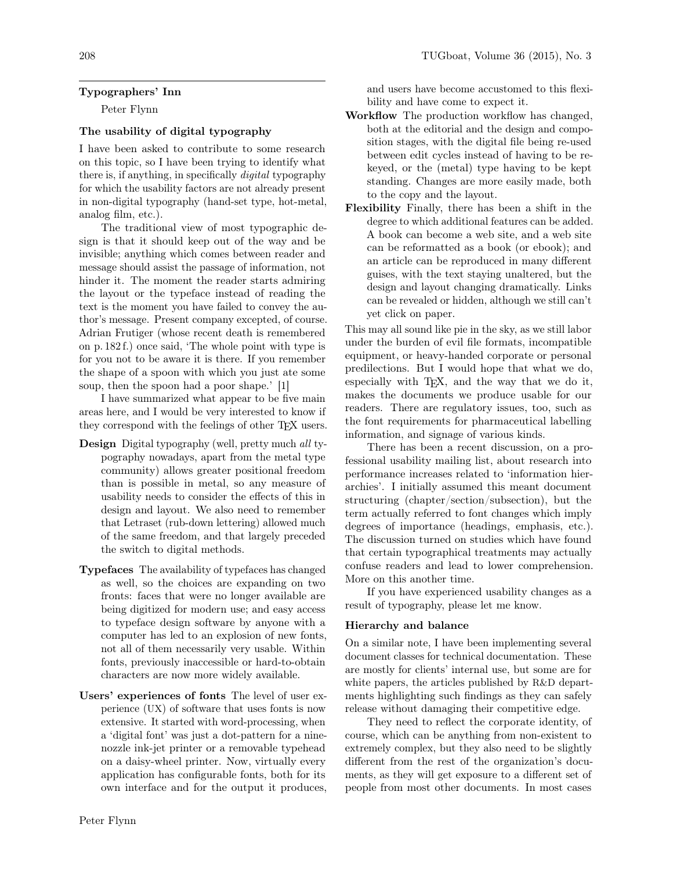# Typographers' Inn

Peter Flynn

# The usability of digital typography

I have been asked to contribute to some research on this topic, so I have been trying to identify what there is, if anything, in specifically digital typography for which the usability factors are not already present in non-digital typography (hand-set type, hot-metal, analog film, etc.).

The traditional view of most typographic design is that it should keep out of the way and be invisible; anything which comes between reader and message should assist the passage of information, not hinder it. The moment the reader starts admiring the layout or the typeface instead of reading the text is the moment you have failed to convey the author's message. Present company excepted, of course. Adrian Frutiger (whose recent death is remembered on p. 182 f.) once said, 'The whole point with type is for you not to be aware it is there. If you remember the shape of a spoon with which you just ate some soup, then the spoon had a poor shape.' [1]

I have summarized what appear to be five main areas here, and I would be very interested to know if they correspond with the feelings of other T<sub>F</sub>X users.

- Design Digital typography (well, pretty much all typography nowadays, apart from the metal type community) allows greater positional freedom than is possible in metal, so any measure of usability needs to consider the effects of this in design and layout. We also need to remember that Letraset (rub-down lettering) allowed much of the same freedom, and that largely preceded the switch to digital methods.
- Typefaces The availability of typefaces has changed as well, so the choices are expanding on two fronts: faces that were no longer available are being digitized for modern use; and easy access to typeface design software by anyone with a computer has led to an explosion of new fonts, not all of them necessarily very usable. Within fonts, previously inaccessible or hard-to-obtain characters are now more widely available.
- Users' experiences of fonts The level of user experience (UX) of software that uses fonts is now extensive. It started with word-processing, when a 'digital font' was just a dot-pattern for a ninenozzle ink-jet printer or a removable typehead on a daisy-wheel printer. Now, virtually every application has configurable fonts, both for its own interface and for the output it produces,

and users have become accustomed to this flexibility and have come to expect it.

- Workflow The production workflow has changed, both at the editorial and the design and composition stages, with the digital file being re-used between edit cycles instead of having to be rekeyed, or the (metal) type having to be kept standing. Changes are more easily made, both to the copy and the layout.
- Flexibility Finally, there has been a shift in the degree to which additional features can be added. A book can become a web site, and a web site can be reformatted as a book (or ebook); and an article can be reproduced in many different guises, with the text staying unaltered, but the design and layout changing dramatically. Links can be revealed or hidden, although we still can't yet click on paper.

This may all sound like pie in the sky, as we still labor under the burden of evil file formats, incompatible equipment, or heavy-handed corporate or personal predilections. But I would hope that what we do, especially with T<sub>E</sub>X, and the way that we do it, makes the documents we produce usable for our readers. There are regulatory issues, too, such as the font requirements for pharmaceutical labelling information, and signage of various kinds.

There has been a recent discussion, on a professional usability mailing list, about research into performance increases related to 'information hierarchies'. I initially assumed this meant document structuring (chapter/section/subsection), but the term actually referred to font changes which imply degrees of importance (headings, emphasis, etc.). The discussion turned on studies which have found that certain typographical treatments may actually confuse readers and lead to lower comprehension. More on this another time.

If you have experienced usability changes as a result of typography, please let me know.

# Hierarchy and balance

On a similar note, I have been implementing several document classes for technical documentation. These are mostly for clients' internal use, but some are for white papers, the articles published by R&D departments highlighting such findings as they can safely release without damaging their competitive edge.

They need to reflect the corporate identity, of course, which can be anything from non-existent to extremely complex, but they also need to be slightly different from the rest of the organization's documents, as they will get exposure to a different set of people from most other documents. In most cases